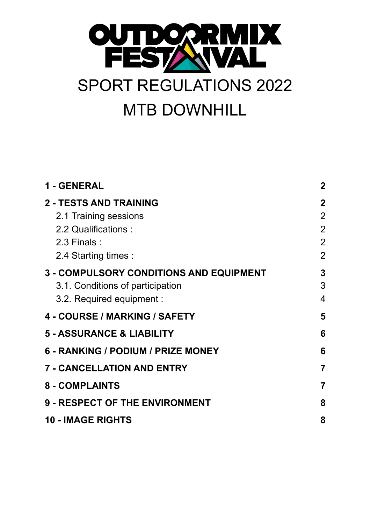

| 1 - GENERAL                                    | $\mathbf 2$    |
|------------------------------------------------|----------------|
| <b>2 - TESTS AND TRAINING</b>                  | $\mathbf 2$    |
| 2.1 Training sessions                          | $\overline{2}$ |
| 2.2 Qualifications :                           | $\overline{2}$ |
| $2.3$ Finals:                                  | $\overline{2}$ |
| 2.4 Starting times :                           | $\overline{2}$ |
| <b>3 - COMPULSORY CONDITIONS AND EQUIPMENT</b> | 3              |
| 3.1. Conditions of participation               | 3              |
| 3.2. Required equipment :                      | $\overline{4}$ |
| 4 - COURSE / MARKING / SAFETY                  | 5              |
| <b>5 - ASSURANCE &amp; LIABILITY</b>           | 6              |
| 6 - RANKING / PODIUM / PRIZE MONEY             | 6              |
| <b>7 - CANCELLATION AND ENTRY</b>              | $\overline{7}$ |
| <b>8 - COMPLAINTS</b>                          | 7              |
| <b>9 - RESPECT OF THE ENVIRONMENT</b>          | 8              |
| <b>10 - IMAGE RIGHTS</b>                       | 8              |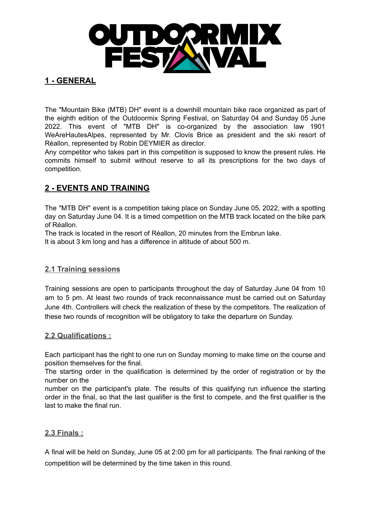

# <span id="page-1-0"></span>**1 - GENERAL**

The "Mountain Bike (MTB) DH" event is a downhill mountain bike race organized as part of the eighth edition of the Outdoormix Spring Festival, on Saturday 04 and Sunday 05 June 2022. This event of "MTB DH" is co-organized by the association law 1901 WeAreHautesAlpes, represented by Mr. Clovis Brice as president and the ski resort of Réallon, represented by Robin DEYMIER as director.

Any competitor who takes part in this competition is supposed to know the present rules. He commits himself to submit without reserve to all its prescriptions for the two days of competition.

# <span id="page-1-1"></span>**2 - EVENTS AND TRAINING**

The "MTB DH" event is a competition taking place on Sunday June 05, 2022, with a spotting day on Saturday June 04. It is a timed competition on the MTB track located on the bike park of Réallon.

The track is located in the resort of Réallon, 20 minutes from the Embrun lake.

It is about 3 km long and has a difference in altitude of about 500 m.

### <span id="page-1-2"></span>**2.1 Training sessions**

Training sessions are open to participants throughout the day of Saturday June 04 from 10 am to 5 pm. At least two rounds of track reconnaissance must be carried out on Saturday June 4th. Controllers will check the realization of these by the competitors. The realization of these two rounds of recognition will be obligatory to take the departure on Sunday.

#### <span id="page-1-3"></span>**2.2 Qualifications :**

Each participant has the right to one run on Sunday morning to make time on the course and position themselves for the final.

The starting order in the qualification is determined by the order of registration or by the number on the

number on the participant's plate. The results of this qualifying run influence the starting order in the final, so that the last qualifier is the first to compete, and the first qualifier is the last to make the final run.

### <span id="page-1-4"></span>**2.3 Finals :**

A final will be held on Sunday, June 05 at 2:00 pm for all participants. The final ranking of the competition will be determined by the time taken in this round.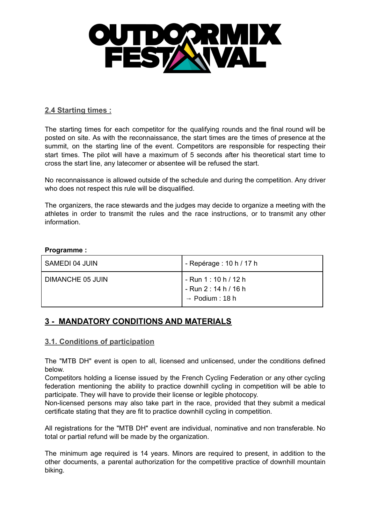

#### <span id="page-2-0"></span>**2.4 Starting times :**

The starting times for each competitor for the qualifying rounds and the final round will be posted on site. As with the reconnaissance, the start times are the times of presence at the summit, on the starting line of the event. Competitors are responsible for respecting their start times. The pilot will have a maximum of 5 seconds after his theoretical start time to cross the start line, any latecomer or absentee will be refused the start.

No reconnaissance is allowed outside of the schedule and during the competition. Any driver who does not respect this rule will be disqualified.

The organizers, the race stewards and the judges may decide to organize a meeting with the athletes in order to transmit the rules and the race instructions, or to transmit any other information.

#### **Programme :**

| SAMEDI 04 JUIN   | - Repérage : 10 h / 17 h                                                      |
|------------------|-------------------------------------------------------------------------------|
| DIMANCHE 05 JUIN | - Run 1 : 10 h / 12 h<br>- Run 2 : 14 h / 16 h<br>$\rightarrow$ Podium : 18 h |

## <span id="page-2-1"></span>**3 - MANDATORY CONDITIONS AND MATERIALS**

#### <span id="page-2-2"></span>**3.1. Conditions of participation**

The "MTB DH" event is open to all, licensed and unlicensed, under the conditions defined below.

Competitors holding a license issued by the French Cycling Federation or any other cycling federation mentioning the ability to practice downhill cycling in competition will be able to participate. They will have to provide their license or legible photocopy.

Non-licensed persons may also take part in the race, provided that they submit a medical certificate stating that they are fit to practice downhill cycling in competition.

All registrations for the "MTB DH" event are individual, nominative and non transferable. No total or partial refund will be made by the organization.

The minimum age required is 14 years. Minors are required to present, in addition to the other documents, a parental authorization for the competitive practice of downhill mountain biking.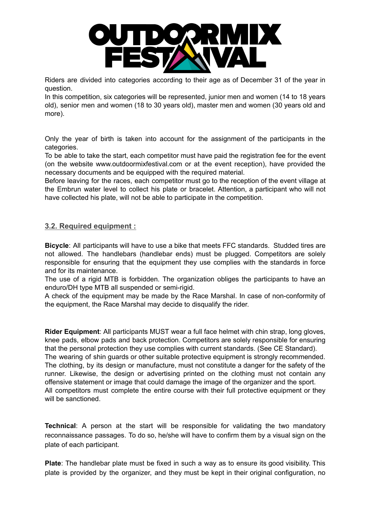

Riders are divided into categories according to their age as of December 31 of the year in question.

In this competition, six categories will be represented, junior men and women (14 to 18 years old), senior men and women (18 to 30 years old), master men and women (30 years old and more).

Only the year of birth is taken into account for the assignment of the participants in the categories.

To be able to take the start, each competitor must have paid the registration fee for the event (on the website www.outdoormixfestival.com or at the event reception), have provided the necessary documents and be equipped with the required material.

Before leaving for the races, each competitor must go to the reception of the event village at the Embrun water level to collect his plate or bracelet. Attention, a participant who will not have collected his plate, will not be able to participate in the competition.

#### <span id="page-3-0"></span>**3.2. Required equipment :**

**Bicycle**: All participants will have to use a bike that meets FFC standards. Studded tires are not allowed. The handlebars (handlebar ends) must be plugged. Competitors are solely responsible for ensuring that the equipment they use complies with the standards in force and for its maintenance.

The use of a rigid MTB is forbidden. The organization obliges the participants to have an enduro/DH type MTB all suspended or semi-rigid.

A check of the equipment may be made by the Race Marshal. In case of non-conformity of the equipment, the Race Marshal may decide to disqualify the rider.

**Rider Equipment**: All participants MUST wear a full face helmet with chin strap, long gloves, knee pads, elbow pads and back protection. Competitors are solely responsible for ensuring that the personal protection they use complies with current standards. (See CE Standard). The wearing of shin guards or other suitable protective equipment is strongly recommended. The clothing, by its design or manufacture, must not constitute a danger for the safety of the runner. Likewise, the design or advertising printed on the clothing must not contain any offensive statement or image that could damage the image of the organizer and the sport. All competitors must complete the entire course with their full protective equipment or they will be sanctioned.

**Technical**: A person at the start will be responsible for validating the two mandatory reconnaissance passages. To do so, he/she will have to confirm them by a visual sign on the plate of each participant.

**Plate**: The handlebar plate must be fixed in such a way as to ensure its good visibility. This plate is provided by the organizer, and they must be kept in their original configuration, no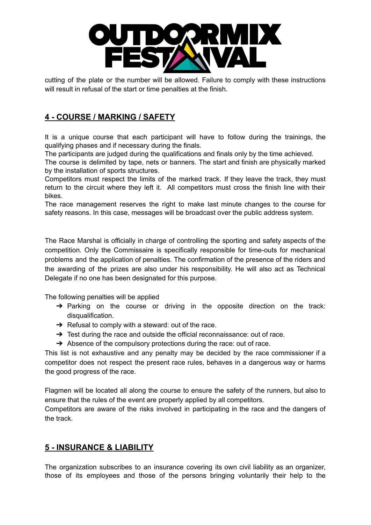

cutting of the plate or the number will be allowed. Failure to comply with these instructions will result in refusal of the start or time penalties at the finish.

# <span id="page-4-0"></span>**4 - COURSE / MARKING / SAFETY**

It is a unique course that each participant will have to follow during the trainings, the qualifying phases and if necessary during the finals.

The participants are judged during the qualifications and finals only by the time achieved.

The course is delimited by tape, nets or banners. The start and finish are physically marked by the installation of sports structures.

Competitors must respect the limits of the marked track. If they leave the track, they must return to the circuit where they left it. All competitors must cross the finish line with their bikes.

The race management reserves the right to make last minute changes to the course for safety reasons. In this case, messages will be broadcast over the public address system.

The Race Marshal is officially in charge of controlling the sporting and safety aspects of the competition. Only the Commissaire is specifically responsible for time-outs for mechanical problems and the application of penalties. The confirmation of the presence of the riders and the awarding of the prizes are also under his responsibility. He will also act as Technical Delegate if no one has been designated for this purpose.

The following penalties will be applied

- $\rightarrow$  Parking on the course or driving in the opposite direction on the track: disqualification.
- $\rightarrow$  Refusal to comply with a steward: out of the race.
- $\rightarrow$  Test during the race and outside the official reconnaissance: out of race.
- $\rightarrow$  Absence of the compulsory protections during the race: out of race.

This list is not exhaustive and any penalty may be decided by the race commissioner if a competitor does not respect the present race rules, behaves in a dangerous way or harms the good progress of the race.

Flagmen will be located all along the course to ensure the safety of the runners, but also to ensure that the rules of the event are properly applied by all competitors.

Competitors are aware of the risks involved in participating in the race and the dangers of the track.

## <span id="page-4-1"></span>**5 - INSURANCE & LIABILITY**

The organization subscribes to an insurance covering its own civil liability as an organizer, those of its employees and those of the persons bringing voluntarily their help to the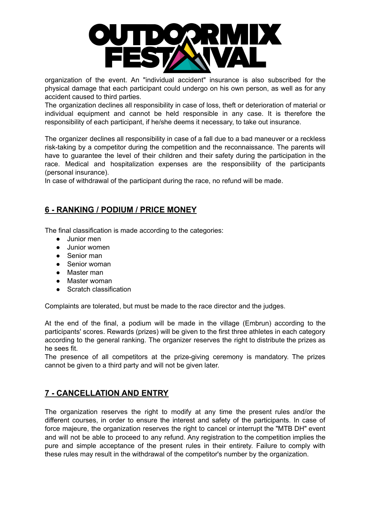

organization of the event. An "individual accident" insurance is also subscribed for the physical damage that each participant could undergo on his own person, as well as for any accident caused to third parties.

The organization declines all responsibility in case of loss, theft or deterioration of material or individual equipment and cannot be held responsible in any case. It is therefore the responsibility of each participant, if he/she deems it necessary, to take out insurance.

The organizer declines all responsibility in case of a fall due to a bad maneuver or a reckless risk-taking by a competitor during the competition and the reconnaissance. The parents will have to guarantee the level of their children and their safety during the participation in the race. Medical and hospitalization expenses are the responsibility of the participants (personal insurance).

In case of withdrawal of the participant during the race, no refund will be made.

# <span id="page-5-0"></span>**6 - RANKING / PODIUM / PRICE MONEY**

The final classification is made according to the categories:

- Junior men
- Junior women
- Senior man
- Senior woman
- Master man
- Master woman
- Scratch classification

Complaints are tolerated, but must be made to the race director and the judges.

At the end of the final, a podium will be made in the village (Embrun) according to the participants' scores. Rewards (prizes) will be given to the first three athletes in each category according to the general ranking. The organizer reserves the right to distribute the prizes as he sees fit.

The presence of all competitors at the prize-giving ceremony is mandatory. The prizes cannot be given to a third party and will not be given later.

## <span id="page-5-1"></span>**7 - CANCELLATION AND ENTRY**

The organization reserves the right to modify at any time the present rules and/or the different courses, in order to ensure the interest and safety of the participants. In case of force majeure, the organization reserves the right to cancel or interrupt the "MTB DH" event and will not be able to proceed to any refund. Any registration to the competition implies the pure and simple acceptance of the present rules in their entirety. Failure to comply with these rules may result in the withdrawal of the competitor's number by the organization.